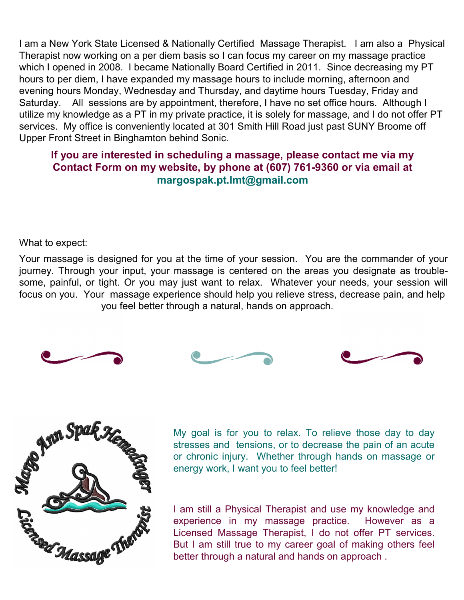I am a New York State Licensed & Nationally Certified Massage Therapist. I am also a Physical Therapist now working on a per diem basis so I can focus my career on my massage practice which I opened in 2008. I became Nationally Board Certified in 2011. Since decreasing my PT hours to per diem, I have expanded my massage hours to include morning, afternoon and evening hours Monday, Wednesday and Thursday, and daytime hours Tuesday, Friday and Saturday. All sessions are by appointment, therefore, I have no set office hours. Although I utilize my knowledge as a PT in my private practice, it is solely for massage, and I do not offer PT services. My office is conveniently located at 301 Smith Hill Road just past SUNY Broome off Upper Front Street in Binghamton behind Sonic.

## **If you are interested in scheduling a massage, please contact me via my Contact Form on my website, by phone at (607) 761-9360 or via email at margospak.pt.lmt@gmail.com**

What to expect:

Your massage is designed for you at the time of your session. You are the commander of your journey. Through your input, your massage is centered on the areas you designate as troublesome, painful, or tight. Or you may just want to relax. Whatever your needs, your session will focus on you. Your massage experience should help you relieve stress, decrease pain, and help you feel better through a natural, hands on approach.







My goal is for you to relax. To relieve those day to day stresses and tensions, or to decrease the pain of an acute or chronic injury. Whether through hands on massage or energy work, I want you to feel better!

I am still a Physical Therapist and use my knowledge and experience in my massage practice. However as a Licensed Massage Therapist, I do not offer PT services. But I am still true to my career goal of making others feel better through a natural and hands on approach .